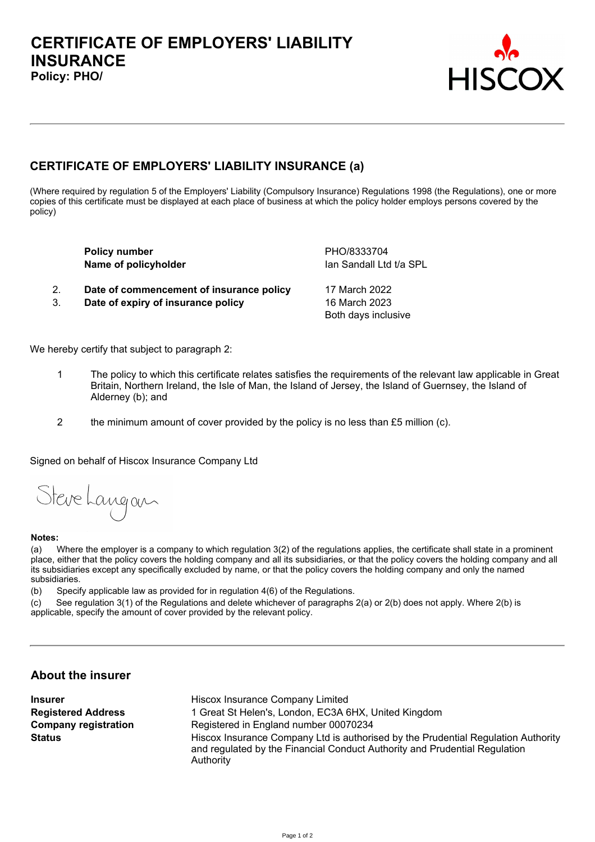

# **CERTIFICATE OF EMPLOYERS' LIABILITY INSURANCE (a)**

(Where required by regulation 5 of the Employers' Liability (Compulsory Insurance) Regulations 1998 (the Regulations), one or more copies of this certificate must be displayed at each place of business at which the policy holder employs persons covered by the **policy)**

|    | <b>Policy number</b><br>Name of policyholder | PHO/8333704<br>Ian Sandall Ltd t/a SPL |
|----|----------------------------------------------|----------------------------------------|
| 2. | Date of commencement of insurance policy     | 17 March 2022                          |
| 3. | Date of expiry of insurance policy           | 16 March 2023                          |
|    |                                              | Both days inclusive                    |
|    |                                              |                                        |

**We hereby certify that subject to paragraph 2:**

- 1 The policy to which this certificate relates satisfies the requirements of the relevant law applicable in Great Britain, Northern Ireland, the Isle of Man, the Island of Jersey, the Island of Guernsey, the Island of **Alderney (b); and**
- **2 the minimum amount of cover provided by the policy is no less than £5 million (c).**

**Signed on behalf of Hiscox Insurance Company Ltd**

Steve Langan

#### **Notes:**

(a) Where the employer is a company to which regulation 3(2) of the regulations applies, the certificate shall state in a prominent place, either that the policy covers the holding company and all its subsidiaries, or that the policy covers the holding company and all its subsidiaries except any specifically excluded by name, or that the policy covers the holding company and only the named **subsidiaries.** 

**(b) Specify applicable law as provided for in regulation 4(6) of the Regulations.**

(c) See regulation 3(1) of the Regulations and delete whichever of paragraphs 2(a) or 2(b) does not apply. Where 2(b) is **applicable, specify the amount of cover provided by the relevant policy.**

### **About the insurer**

**Insurer Hiscox Insurer Hiscox Insurance Company** Limited **Registered Address 1 Great St Helen's, London, EC3A 6HX, United Kingdom Company registration Registered in England number 00070234 Status Hiscox Insurance Company Ltd is authorised by the Prudential Regulation Authority and regulated by the Financial Conduct Authority and Prudential Regulation Authority**